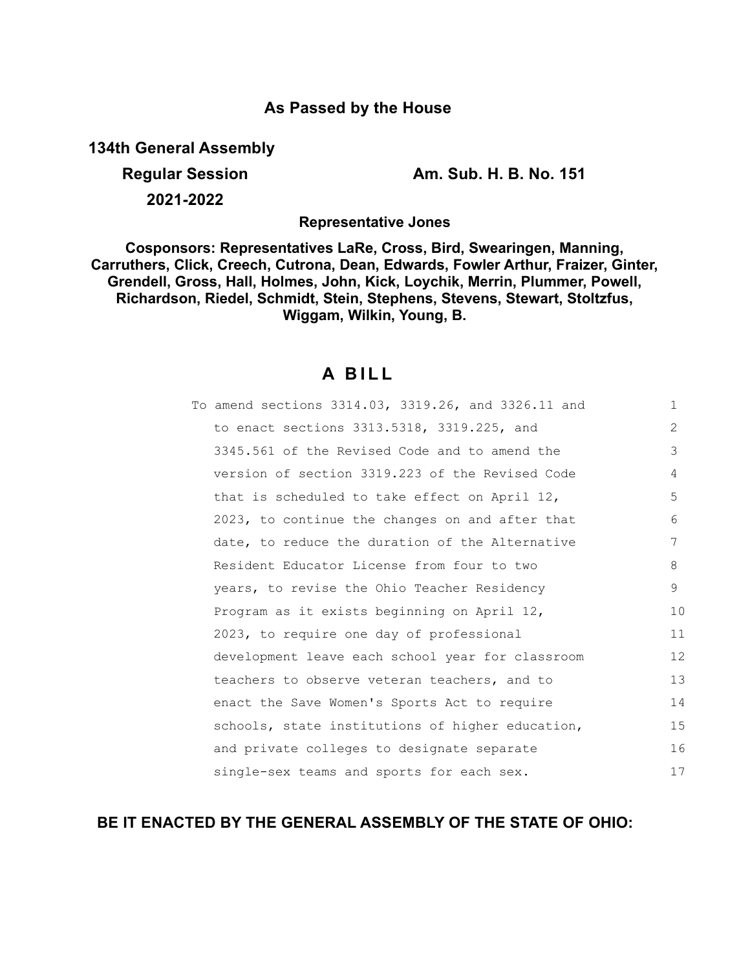## **As Passed by the House**

**134th General Assembly**

**Regular Session Am. Sub. H. B. No. 151**

**2021-2022**

**Representative Jones**

**Cosponsors: Representatives LaRe, Cross, Bird, Swearingen, Manning, Carruthers, Click, Creech, Cutrona, Dean, Edwards, Fowler Arthur, Fraizer, Ginter, Grendell, Gross, Hall, Holmes, John, Kick, Loychik, Merrin, Plummer, Powell, Richardson, Riedel, Schmidt, Stein, Stephens, Stevens, Stewart, Stoltzfus, Wiggam, Wilkin, Young, B.**

# **A B I L L**

| To amend sections 3314.03, 3319.26, and 3326.11 and | $\mathbf{1}$   |
|-----------------------------------------------------|----------------|
| to enact sections 3313.5318, 3319.225, and          | $\overline{2}$ |
| 3345.561 of the Revised Code and to amend the       | 3              |
| version of section 3319.223 of the Revised Code     | 4              |
| that is scheduled to take effect on April 12,       | 5              |
| 2023, to continue the changes on and after that     | 6              |
| date, to reduce the duration of the Alternative     | 7              |
| Resident Educator License from four to two          | 8              |
| years, to revise the Ohio Teacher Residency         | 9              |
| Program as it exists beginning on April 12,         | 10             |
| 2023, to require one day of professional            | 11             |
| development leave each school year for classroom    | 12             |
| teachers to observe veteran teachers, and to        | 13             |
| enact the Save Women's Sports Act to require        | 14             |
| schools, state institutions of higher education,    | 15             |
| and private colleges to designate separate          | 16             |
| single-sex teams and sports for each sex.           | 17             |

## **BE IT ENACTED BY THE GENERAL ASSEMBLY OF THE STATE OF OHIO:**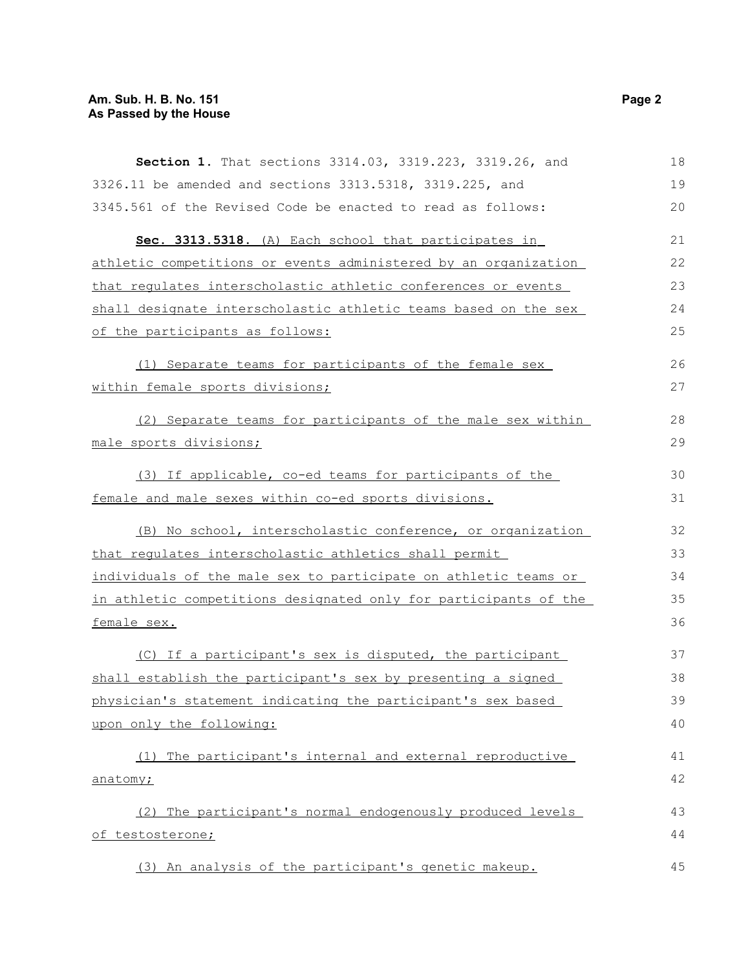| Section 1. That sections 3314.03, 3319.223, 3319.26, and         | 18 |
|------------------------------------------------------------------|----|
| 3326.11 be amended and sections 3313.5318, 3319.225, and         | 19 |
| 3345.561 of the Revised Code be enacted to read as follows:      | 20 |
| Sec. 3313.5318. (A) Each school that participates in             | 21 |
| athletic competitions or events administered by an organization  | 22 |
| that regulates interscholastic athletic conferences or events    | 23 |
| shall designate interscholastic athletic teams based on the sex  | 24 |
| of the participants as follows:                                  | 25 |
| (1) Separate teams for participants of the female sex            | 26 |
| within female sports divisions;                                  | 27 |
| (2) Separate teams for participants of the male sex within       | 28 |
| male sports divisions;                                           | 29 |
| (3) If applicable, co-ed teams for participants of the           | 30 |
| female and male sexes within co-ed sports divisions.             | 31 |
| (B) No school, interscholastic conference, or organization       | 32 |
| that regulates interscholastic athletics shall permit            | 33 |
| individuals of the male sex to participate on athletic teams or  | 34 |
| in athletic competitions designated only for participants of the | 35 |
| female sex.                                                      | 36 |
| (C) If a participant's sex is disputed, the participant          | 37 |
| shall establish the participant's sex by presenting a signed     | 38 |
| physician's statement indicating the participant's sex based     | 39 |
| upon only the following:                                         | 40 |
| (1) The participant's internal and external reproductive         | 41 |
| anatomy;                                                         | 42 |
| (2) The participant's normal endogenously produced levels        | 43 |
| of testosterone;                                                 | 44 |
| (3) An analysis of the participant's genetic makeup.             | 45 |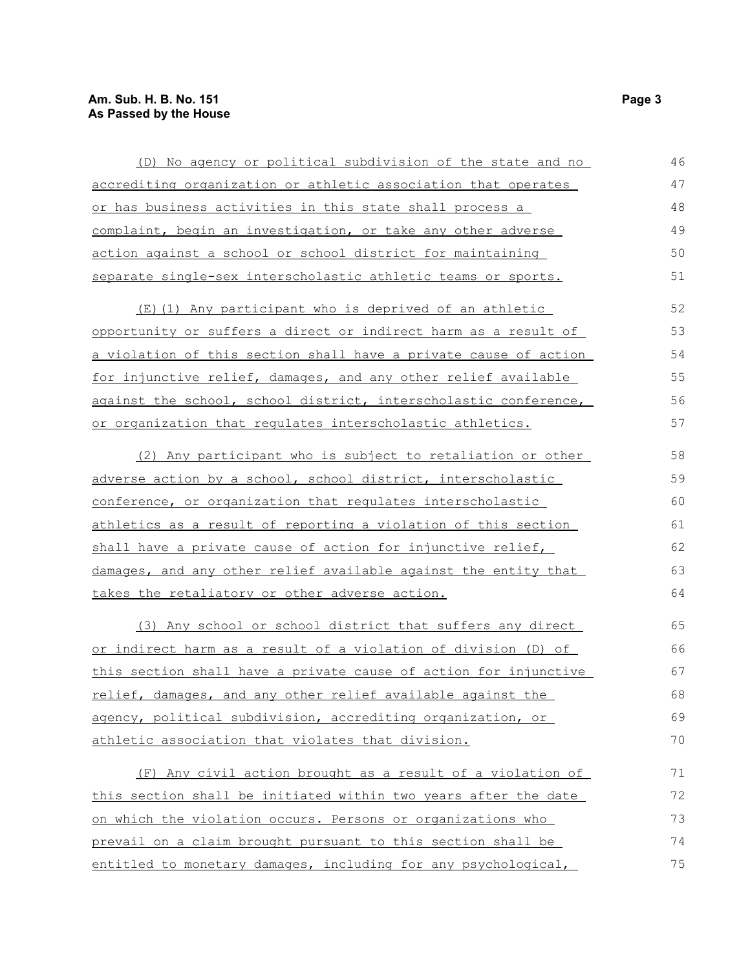### **Am. Sub. H. B. No. 151 Page 3 As Passed by the House**

| (D) No agency or political subdivision of the state and no       | 46 |
|------------------------------------------------------------------|----|
| accrediting organization or athletic association that operates   | 47 |
| or has business activities in this state shall process a         | 48 |
| complaint, begin an investigation, or take any other adverse     | 49 |
| action against a school or school district for maintaining       | 50 |
| separate single-sex interscholastic athletic teams or sports.    | 51 |
| (E)(1) Any participant who is deprived of an athletic            | 52 |
| opportunity or suffers a direct or indirect harm as a result of  | 53 |
| a violation of this section shall have a private cause of action | 54 |
| for injunctive relief, damages, and any other relief available   | 55 |
| against the school, school district, interscholastic conference, | 56 |
| or organization that regulates interscholastic athletics.        | 57 |
| (2) Any participant who is subject to retaliation or other       | 58 |
| adverse action by a school, school district, interscholastic     | 59 |
| conference, or organization that regulates interscholastic       | 60 |
| athletics as a result of reporting a violation of this section   | 61 |
| shall have a private cause of action for injunctive relief,      | 62 |
| damages, and any other relief available against the entity that  | 63 |
| takes the retaliatory or other adverse action.                   | 64 |
| (3) Any school or school district that suffers any direct        | 65 |
| or indirect harm as a result of a violation of division (D) of   | 66 |
| this section shall have a private cause of action for injunctive | 67 |
| relief, damages, and any other relief available against the      | 68 |
| agency, political subdivision, accrediting organization, or      | 69 |
| athletic association that violates that division.                | 70 |
| (F) Any civil action brought as a result of a violation of       | 71 |
| this section shall be initiated within two years after the date  | 72 |
| on which the violation occurs. Persons or organizations who      | 73 |
| prevail on a claim brought pursuant to this section shall be     | 74 |
| entitled to monetary damages, including for any psychological,   | 75 |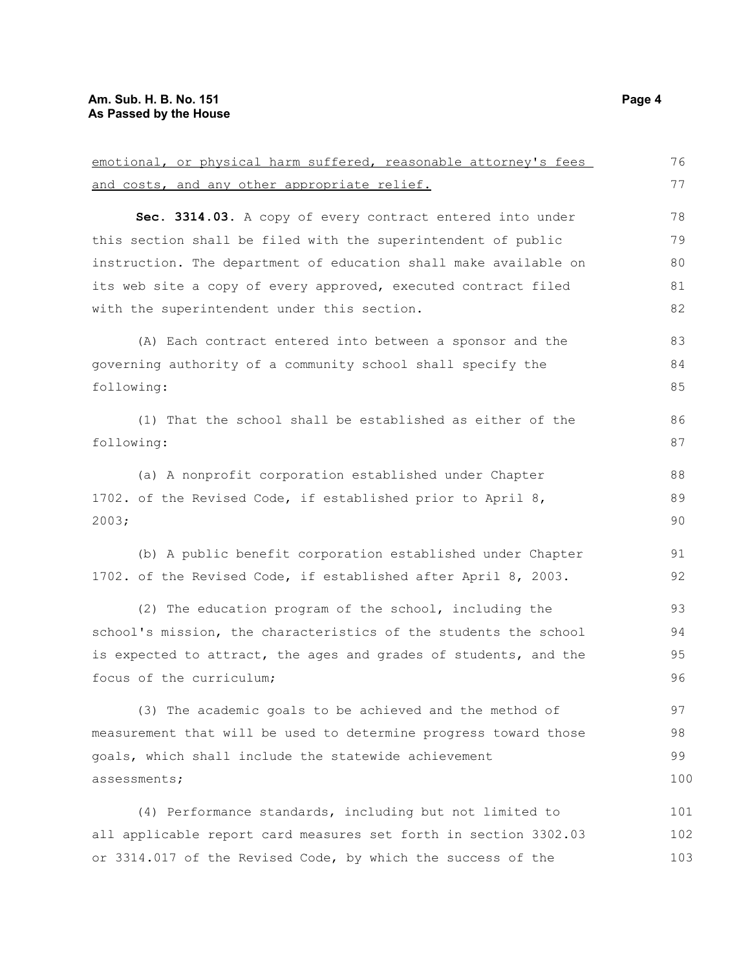## **Am. Sub. H. B. No. 151 Page 4 As Passed by the House**

| emotional, or physical harm suffered, reasonable attorney's fees | 76  |
|------------------------------------------------------------------|-----|
| and costs, and any other appropriate relief.                     | 77  |
| Sec. 3314.03. A copy of every contract entered into under        | 78  |
| this section shall be filed with the superintendent of public    | 79  |
| instruction. The department of education shall make available on | 80  |
| its web site a copy of every approved, executed contract filed   | 81  |
| with the superintendent under this section.                      | 82  |
| (A) Each contract entered into between a sponsor and the         | 83  |
| governing authority of a community school shall specify the      | 84  |
| following:                                                       | 85  |
| (1) That the school shall be established as either of the        | 86  |
| following:                                                       | 87  |
| (a) A nonprofit corporation established under Chapter            | 88  |
| 1702. of the Revised Code, if established prior to April 8,      | 89  |
| 2003;                                                            | 90  |
| (b) A public benefit corporation established under Chapter       | 91  |
| 1702. of the Revised Code, if established after April 8, 2003.   | 92  |
| (2) The education program of the school, including the           | 93  |
| school's mission, the characteristics of the students the school | 94  |
| is expected to attract, the ages and grades of students, and the | 95  |
| focus of the curriculum;                                         | 96  |
| (3) The academic goals to be achieved and the method of          | 97  |
| measurement that will be used to determine progress toward those | 98  |
| goals, which shall include the statewide achievement             | 99  |
| assessments;                                                     | 100 |
| (4) Performance standards, including but not limited to          | 101 |
| all applicable report card measures set forth in section 3302.03 | 102 |
| or 3314.017 of the Revised Code, by which the success of the     | 103 |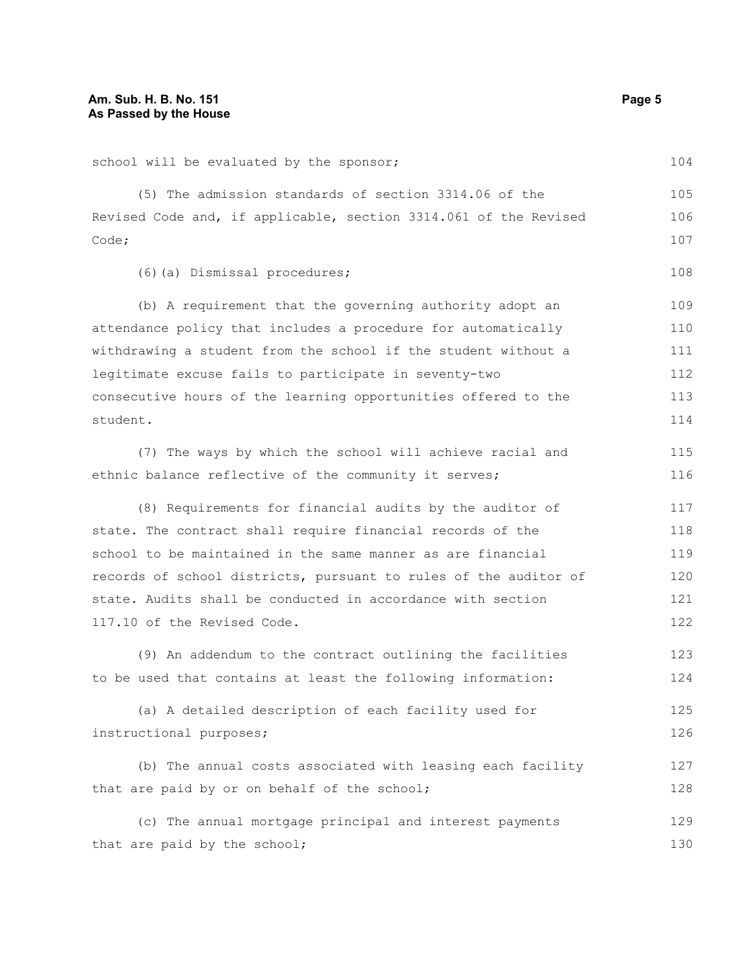school will be evaluated by the sponsor; (5) The admission standards of section 3314.06 of the Revised Code and, if applicable, section 3314.061 of the Revised Code; (6)(a) Dismissal procedures; (b) A requirement that the governing authority adopt an attendance policy that includes a procedure for automatically withdrawing a student from the school if the student without a legitimate excuse fails to participate in seventy-two consecutive hours of the learning opportunities offered to the student. (7) The ways by which the school will achieve racial and ethnic balance reflective of the community it serves; (8) Requirements for financial audits by the auditor of state. The contract shall require financial records of the school to be maintained in the same manner as are financial records of school districts, pursuant to rules of the auditor of state. Audits shall be conducted in accordance with section 117.10 of the Revised Code. (9) An addendum to the contract outlining the facilities to be used that contains at least the following information: (a) A detailed description of each facility used for instructional purposes; (b) The annual costs associated with leasing each facility that are paid by or on behalf of the school; (c) The annual mortgage principal and interest payments that are paid by the school; 104 105 106 107 108 109 110 111 112 113 114 115 116 117 118 119 120 121 122 123 124 125 126 127 128 129 130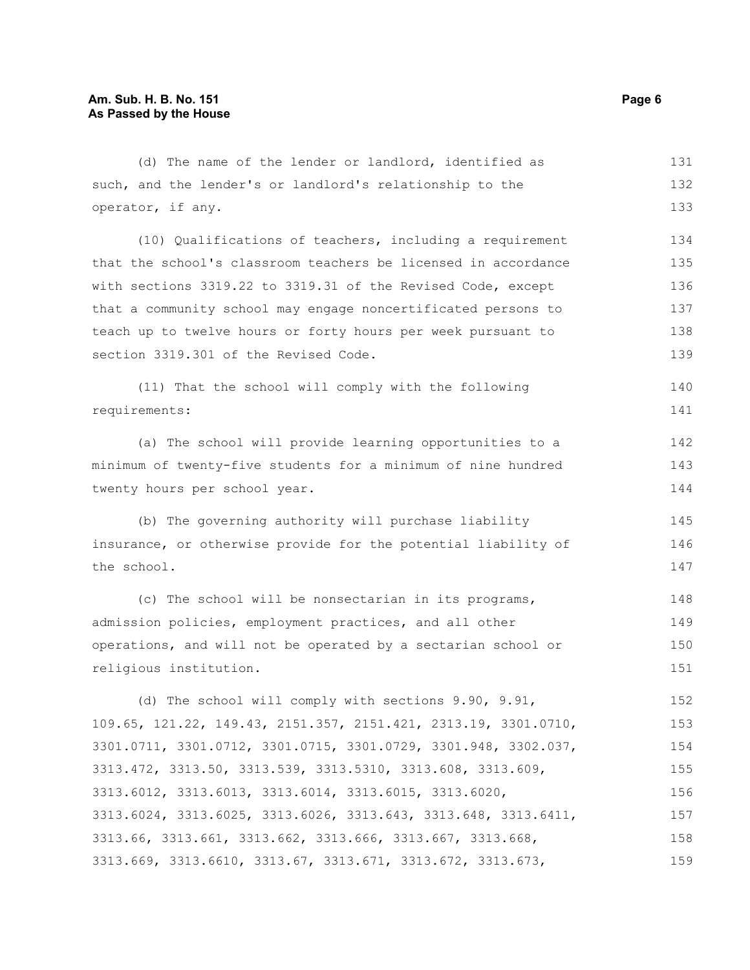| (d) The name of the lender or landlord, identified as           | 131 |
|-----------------------------------------------------------------|-----|
| such, and the lender's or landlord's relationship to the        | 132 |
| operator, if any.                                               | 133 |
| (10) Qualifications of teachers, including a requirement        | 134 |
| that the school's classroom teachers be licensed in accordance  | 135 |
| with sections 3319.22 to 3319.31 of the Revised Code, except    | 136 |
| that a community school may engage noncertificated persons to   | 137 |
| teach up to twelve hours or forty hours per week pursuant to    | 138 |
| section 3319.301 of the Revised Code.                           | 139 |
| (11) That the school will comply with the following             | 140 |
| requirements:                                                   | 141 |
| (a) The school will provide learning opportunities to a         | 142 |
| minimum of twenty-five students for a minimum of nine hundred   | 143 |
| twenty hours per school year.                                   | 144 |
| (b) The governing authority will purchase liability             | 145 |
| insurance, or otherwise provide for the potential liability of  | 146 |
| the school.                                                     | 147 |
| (c) The school will be nonsectarian in its programs,            | 148 |
| admission policies, employment practices, and all other         | 149 |
| operations, and will not be operated by a sectarian school or   | 150 |
| religious institution.                                          | 151 |
| (d) The school will comply with sections 9.90, 9.91,            | 152 |
| 109.65, 121.22, 149.43, 2151.357, 2151.421, 2313.19, 3301.0710, | 153 |
| 3301.0711, 3301.0712, 3301.0715, 3301.0729, 3301.948, 3302.037, | 154 |
| 3313.472, 3313.50, 3313.539, 3313.5310, 3313.608, 3313.609,     | 155 |
| 3313.6012, 3313.6013, 3313.6014, 3313.6015, 3313.6020,          | 156 |
| 3313.6024, 3313.6025, 3313.6026, 3313.643, 3313.648, 3313.6411, | 157 |
| 3313.66, 3313.661, 3313.662, 3313.666, 3313.667, 3313.668,      | 158 |
| 3313.669, 3313.6610, 3313.67, 3313.671, 3313.672, 3313.673,     | 159 |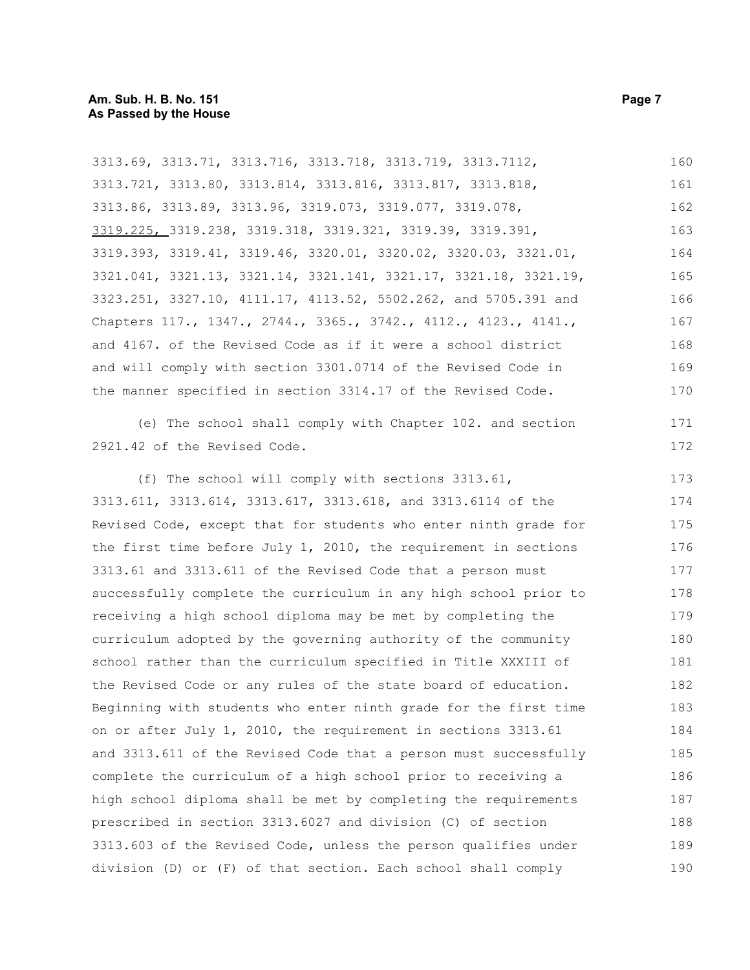| 3313.69, 3313.71, 3313.716, 3313.718, 3313.719, 3313.7112,       | 160 |
|------------------------------------------------------------------|-----|
| 3313.721, 3313.80, 3313.814, 3313.816, 3313.817, 3313.818,       | 161 |
| 3313.86, 3313.89, 3313.96, 3319.073, 3319.077, 3319.078,         | 162 |
| 3319.225, 3319.238, 3319.318, 3319.321, 3319.39, 3319.391,       | 163 |
| 3319.393, 3319.41, 3319.46, 3320.01, 3320.02, 3320.03, 3321.01,  | 164 |
| 3321.041, 3321.13, 3321.14, 3321.141, 3321.17, 3321.18, 3321.19, | 165 |
| 3323.251, 3327.10, 4111.17, 4113.52, 5502.262, and 5705.391 and  | 166 |
| Chapters 117., 1347., 2744., 3365., 3742., 4112., 4123., 4141.,  | 167 |
| and 4167. of the Revised Code as if it were a school district    | 168 |
| and will comply with section 3301.0714 of the Revised Code in    | 169 |
| the manner specified in section 3314.17 of the Revised Code.     | 170 |
| (e) The school shall comply with Chapter 102. and section        | 171 |
| 2921.42 of the Revised Code.                                     | 172 |
| (f) The school will comply with sections 3313.61,                | 173 |
| 3313.611, 3313.614, 3313.617, 3313.618, and 3313.6114 of the     | 174 |
| Revised Code, except that for students who enter ninth grade for | 175 |
| the first time before July 1, 2010, the requirement in sections  | 176 |
| 3313.61 and 3313.611 of the Revised Code that a person must      | 177 |
| successfully complete the curriculum in any high school prior to | 178 |
| receiving a high school diploma may be met by completing the     | 179 |
| curriculum adopted by the governing authority of the community   | 180 |
| school rather than the curriculum specified in Title XXXIII of   | 181 |
| the Revised Code or any rules of the state board of education.   | 182 |
| Beginning with students who enter ninth grade for the first time | 183 |
| on or after July 1, 2010, the requirement in sections 3313.61    | 184 |
| and 3313.611 of the Revised Code that a person must successfully | 185 |
| complete the curriculum of a high school prior to receiving a    | 186 |
| high school diploma shall be met by completing the requirements  | 187 |
| prescribed in section 3313.6027 and division (C) of section      | 188 |
| 3313.603 of the Revised Code, unless the person qualifies under  | 189 |
| division (D) or (F) of that section. Each school shall comply    | 190 |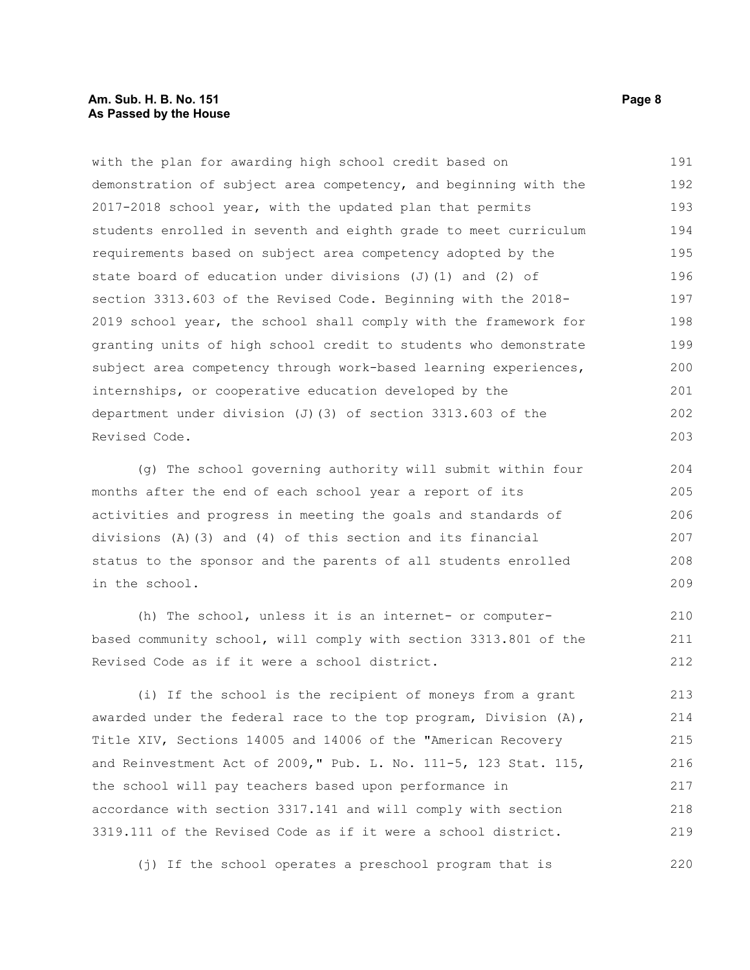#### **Am. Sub. H. B. No. 151 Page 8 As Passed by the House**

with the plan for awarding high school credit based on demonstration of subject area competency, and beginning with the 2017-2018 school year, with the updated plan that permits students enrolled in seventh and eighth grade to meet curriculum requirements based on subject area competency adopted by the state board of education under divisions (J)(1) and (2) of section 3313.603 of the Revised Code. Beginning with the 2018- 2019 school year, the school shall comply with the framework for granting units of high school credit to students who demonstrate subject area competency through work-based learning experiences, internships, or cooperative education developed by the department under division (J)(3) of section 3313.603 of the Revised Code. 191 192 193 194 195 196 197 198 199 200 201 202 203

(g) The school governing authority will submit within four months after the end of each school year a report of its activities and progress in meeting the goals and standards of divisions (A)(3) and (4) of this section and its financial status to the sponsor and the parents of all students enrolled in the school.

(h) The school, unless it is an internet- or computerbased community school, will comply with section 3313.801 of the Revised Code as if it were a school district.

(i) If the school is the recipient of moneys from a grant awarded under the federal race to the top program, Division  $(A)$ , Title XIV, Sections 14005 and 14006 of the "American Recovery and Reinvestment Act of 2009," Pub. L. No. 111-5, 123 Stat. 115, the school will pay teachers based upon performance in accordance with section 3317.141 and will comply with section 3319.111 of the Revised Code as if it were a school district. 213 214 215 216 217 218 219

(j) If the school operates a preschool program that is 220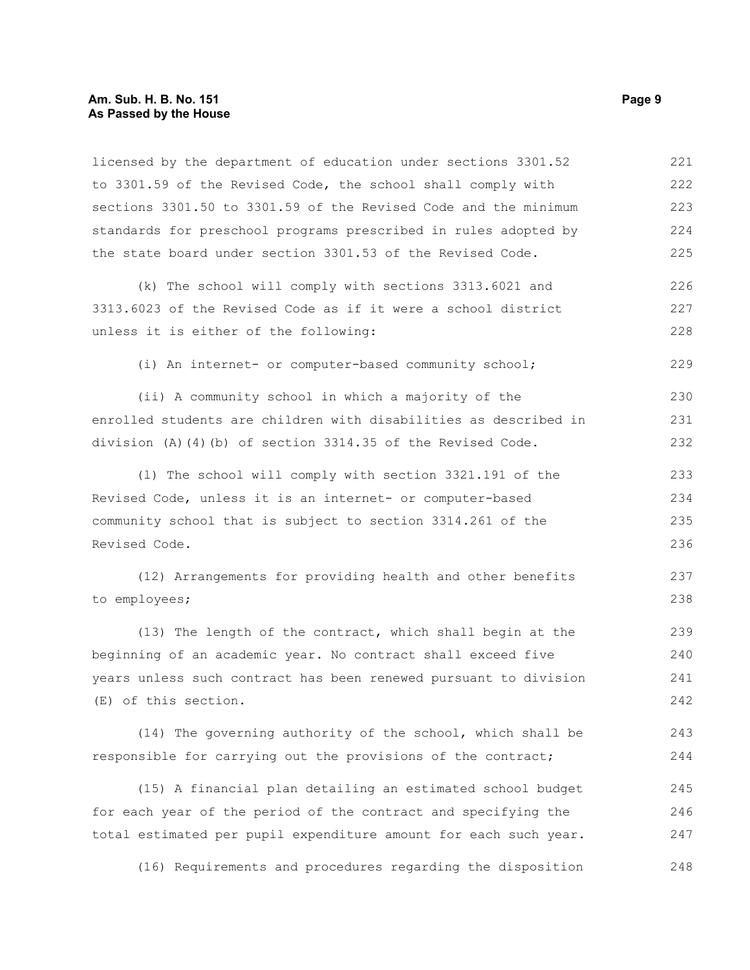#### **Am. Sub. H. B. No. 151 Page 9 As Passed by the House**

licensed by the department of education under sections 3301.52 to 3301.59 of the Revised Code, the school shall comply with sections 3301.50 to 3301.59 of the Revised Code and the minimum standards for preschool programs prescribed in rules adopted by the state board under section 3301.53 of the Revised Code. 221 222 223 224 225

(k) The school will comply with sections 3313.6021 and 3313.6023 of the Revised Code as if it were a school district unless it is either of the following: 226 227 228

(i) An internet- or computer-based community school;

(ii) A community school in which a majority of the enrolled students are children with disabilities as described in division (A)(4)(b) of section 3314.35 of the Revised Code. 230 231 232

(l) The school will comply with section 3321.191 of the Revised Code, unless it is an internet- or computer-based community school that is subject to section 3314.261 of the Revised Code. 233 234 235 236

(12) Arrangements for providing health and other benefits to employees; 237 238

(13) The length of the contract, which shall begin at the beginning of an academic year. No contract shall exceed five years unless such contract has been renewed pursuant to division (E) of this section. 239 240 241 242

(14) The governing authority of the school, which shall be responsible for carrying out the provisions of the contract; 243 244

(15) A financial plan detailing an estimated school budget for each year of the period of the contract and specifying the total estimated per pupil expenditure amount for each such year. 245 246 247

(16) Requirements and procedures regarding the disposition 248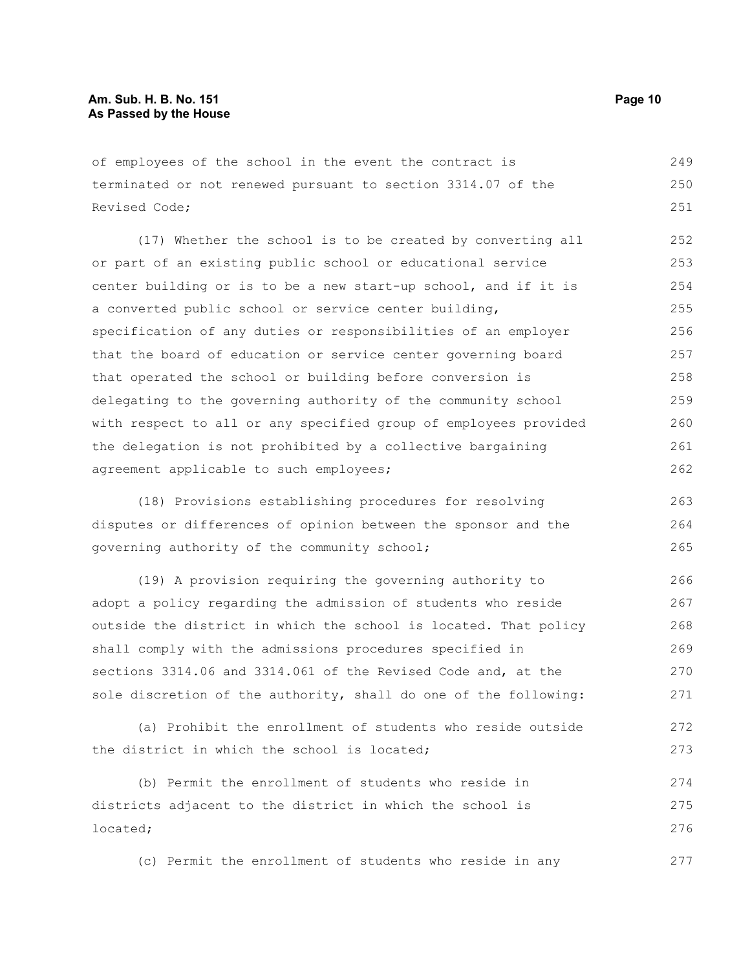#### **Am. Sub. H. B. No. 151 Page 10 As Passed by the House**

of employees of the school in the event the contract is terminated or not renewed pursuant to section 3314.07 of the Revised Code; 249 250 251

(17) Whether the school is to be created by converting all or part of an existing public school or educational service center building or is to be a new start-up school, and if it is a converted public school or service center building, specification of any duties or responsibilities of an employer that the board of education or service center governing board that operated the school or building before conversion is delegating to the governing authority of the community school with respect to all or any specified group of employees provided the delegation is not prohibited by a collective bargaining agreement applicable to such employees; 252 253 254 255 256 257 258 259 260 261 262

(18) Provisions establishing procedures for resolving disputes or differences of opinion between the sponsor and the governing authority of the community school; 263 264 265

(19) A provision requiring the governing authority to adopt a policy regarding the admission of students who reside outside the district in which the school is located. That policy shall comply with the admissions procedures specified in sections 3314.06 and 3314.061 of the Revised Code and, at the sole discretion of the authority, shall do one of the following: 266 267 268 269 270 271

(a) Prohibit the enrollment of students who reside outside the district in which the school is located; 272 273

(b) Permit the enrollment of students who reside in districts adjacent to the district in which the school is located; 274 275 276

(c) Permit the enrollment of students who reside in any 277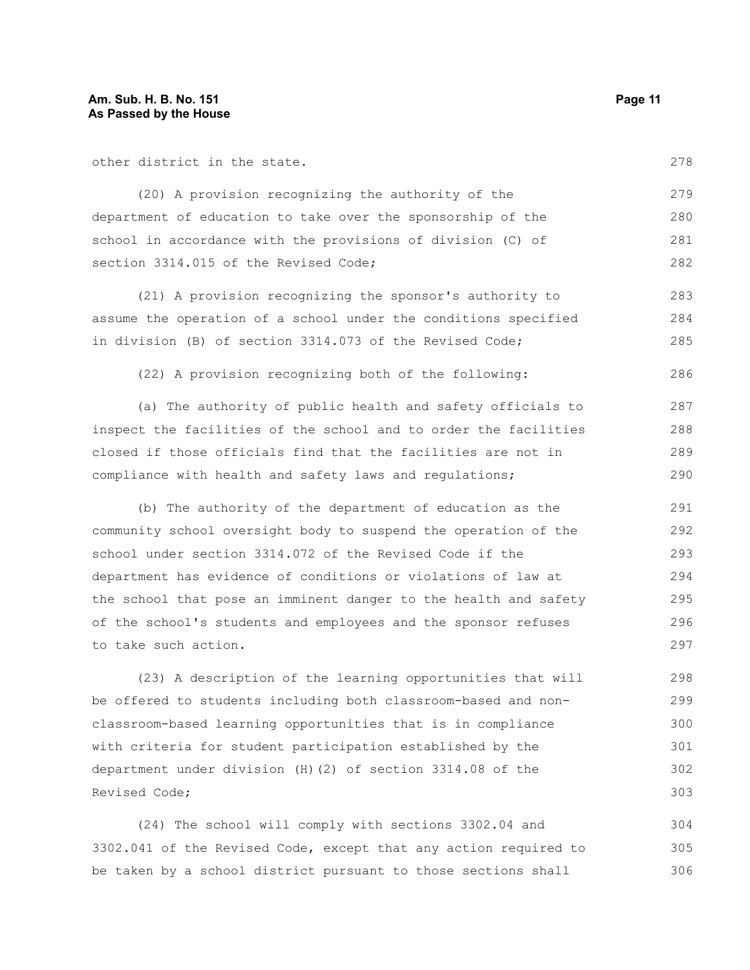other district in the state.

278

286

(20) A provision recognizing the authority of the department of education to take over the sponsorship of the school in accordance with the provisions of division (C) of section 3314.015 of the Revised Code; 279 280 281 282

(21) A provision recognizing the sponsor's authority to assume the operation of a school under the conditions specified in division (B) of section 3314.073 of the Revised Code; 283 284 285

(22) A provision recognizing both of the following:

(a) The authority of public health and safety officials to inspect the facilities of the school and to order the facilities closed if those officials find that the facilities are not in compliance with health and safety laws and regulations; 287 288 289 290

(b) The authority of the department of education as the community school oversight body to suspend the operation of the school under section 3314.072 of the Revised Code if the department has evidence of conditions or violations of law at the school that pose an imminent danger to the health and safety of the school's students and employees and the sponsor refuses to take such action. 291 292 293 294 295 296 297

(23) A description of the learning opportunities that will be offered to students including both classroom-based and nonclassroom-based learning opportunities that is in compliance with criteria for student participation established by the department under division (H)(2) of section 3314.08 of the Revised Code; 298 299 300 301 302 303

(24) The school will comply with sections 3302.04 and 3302.041 of the Revised Code, except that any action required to be taken by a school district pursuant to those sections shall 304 305 306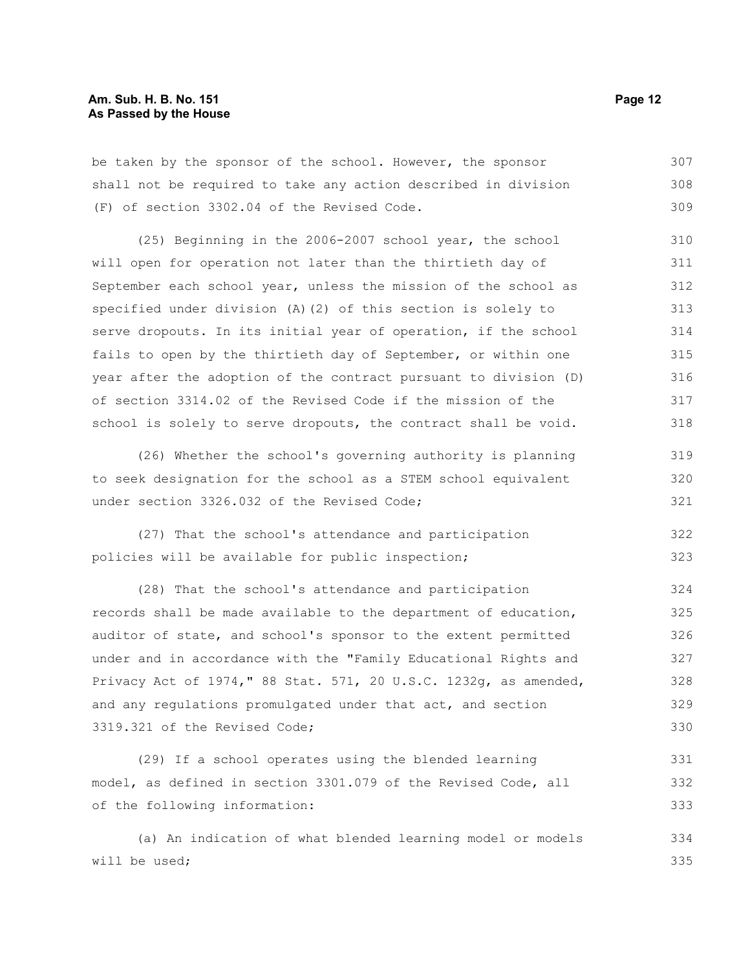be taken by the sponsor of the school. However, the sponsor shall not be required to take any action described in division (F) of section 3302.04 of the Revised Code. 307 308 309

(25) Beginning in the 2006-2007 school year, the school will open for operation not later than the thirtieth day of September each school year, unless the mission of the school as specified under division (A)(2) of this section is solely to serve dropouts. In its initial year of operation, if the school fails to open by the thirtieth day of September, or within one year after the adoption of the contract pursuant to division (D) of section 3314.02 of the Revised Code if the mission of the school is solely to serve dropouts, the contract shall be void. 310 311 312 313 314 315 316 317 318

(26) Whether the school's governing authority is planning to seek designation for the school as a STEM school equivalent under section 3326.032 of the Revised Code; 319 320 321

(27) That the school's attendance and participation policies will be available for public inspection; 322 323

(28) That the school's attendance and participation records shall be made available to the department of education, auditor of state, and school's sponsor to the extent permitted under and in accordance with the "Family Educational Rights and Privacy Act of 1974," 88 Stat. 571, 20 U.S.C. 1232g, as amended, and any regulations promulgated under that act, and section 3319.321 of the Revised Code; 324 325 326 327 328 329 330

(29) If a school operates using the blended learning model, as defined in section 3301.079 of the Revised Code, all of the following information: 331 332 333

(a) An indication of what blended learning model or models will be used; 334 335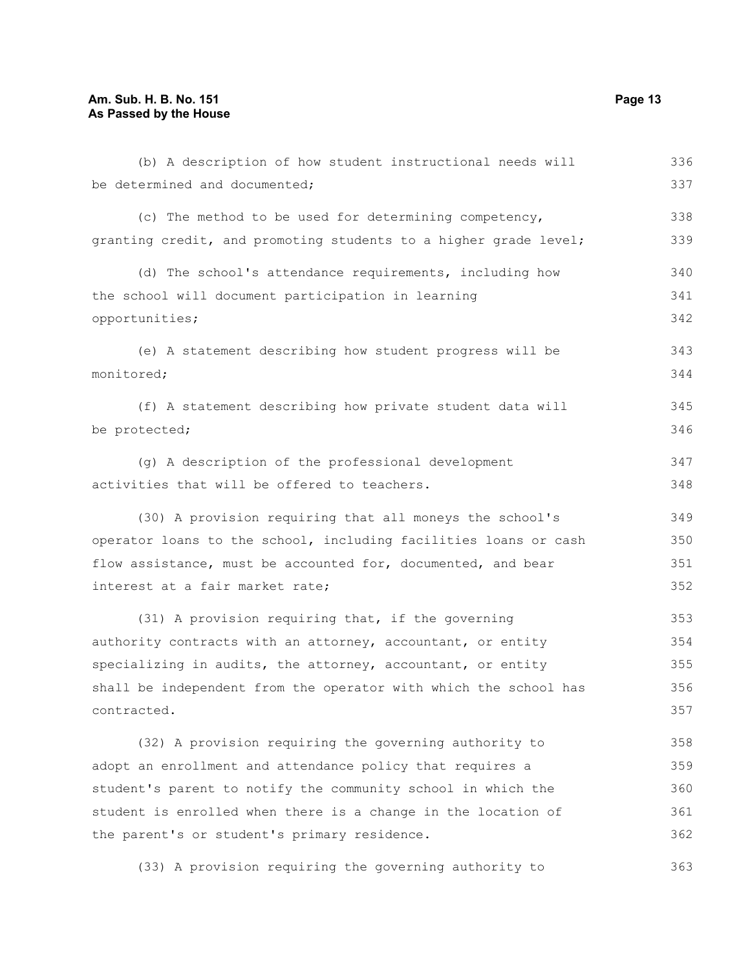#### **Am. Sub. H. B. No. 151 Page 13 As Passed by the House**

be determined and documented;

(c) The method to be used for determining competency, granting credit, and promoting students to a higher grade level; 338 339

(d) The school's attendance requirements, including how the school will document participation in learning opportunities; 340 341 342

(e) A statement describing how student progress will be monitored; 343 344

(f) A statement describing how private student data will be protected; 345 346

(g) A description of the professional development activities that will be offered to teachers. 347 348

(30) A provision requiring that all moneys the school's operator loans to the school, including facilities loans or cash flow assistance, must be accounted for, documented, and bear interest at a fair market rate;

(31) A provision requiring that, if the governing authority contracts with an attorney, accountant, or entity specializing in audits, the attorney, accountant, or entity shall be independent from the operator with which the school has contracted. 353 354 355 356 357

(32) A provision requiring the governing authority to adopt an enrollment and attendance policy that requires a student's parent to notify the community school in which the student is enrolled when there is a change in the location of the parent's or student's primary residence. 358 359 360 361 362

(33) A provision requiring the governing authority to 363

336 337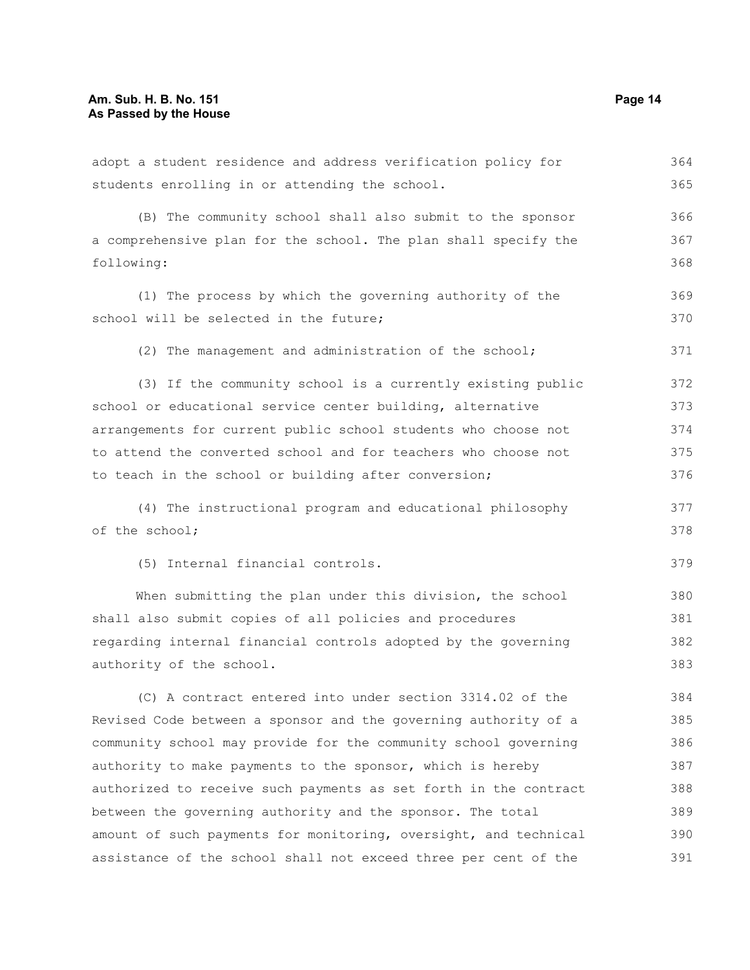adopt a student residence and address verification policy for students enrolling in or attending the school. (B) The community school shall also submit to the sponsor a comprehensive plan for the school. The plan shall specify the following: (1) The process by which the governing authority of the school will be selected in the future; (2) The management and administration of the school; (3) If the community school is a currently existing public school or educational service center building, alternative arrangements for current public school students who choose not to attend the converted school and for teachers who choose not to teach in the school or building after conversion; (4) The instructional program and educational philosophy of the school; (5) Internal financial controls. When submitting the plan under this division, the school shall also submit copies of all policies and procedures regarding internal financial controls adopted by the governing authority of the school. (C) A contract entered into under section 3314.02 of the Revised Code between a sponsor and the governing authority of a community school may provide for the community school governing authority to make payments to the sponsor, which is hereby authorized to receive such payments as set forth in the contract between the governing authority and the sponsor. The total amount of such payments for monitoring, oversight, and technical 364 365 366 367 368 369 370 371 372 373 374 375 376 377 378 379 380 381 382 383 384 385 386 387 388 389 390

assistance of the school shall not exceed three per cent of the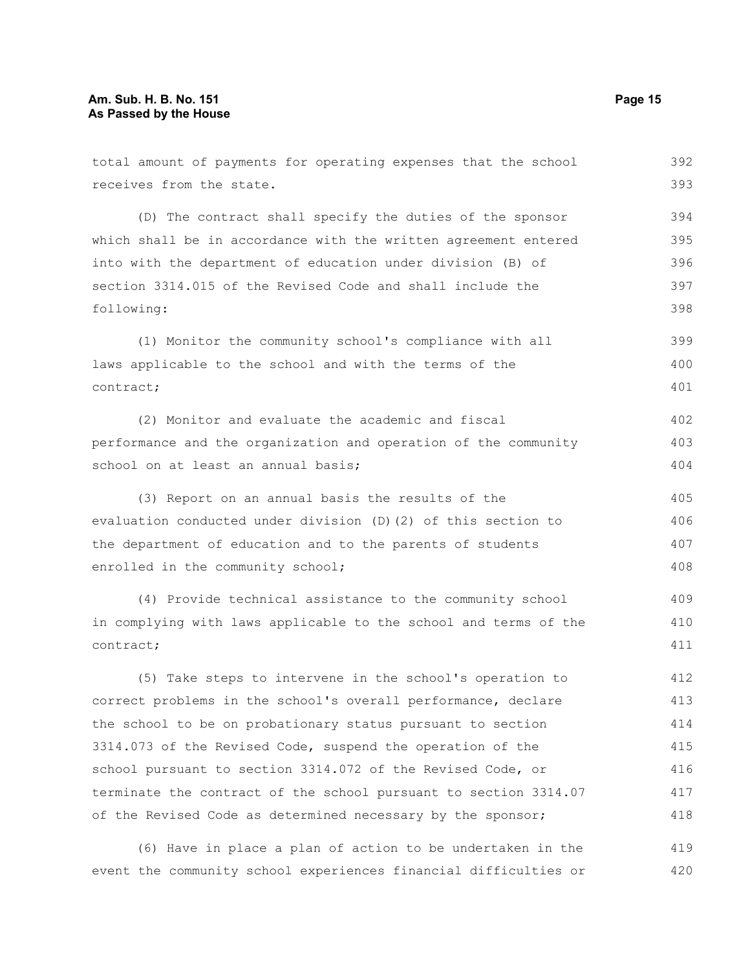| total amount of payments for operating expenses that the school  | 392 |
|------------------------------------------------------------------|-----|
| receives from the state.                                         | 393 |
| (D) The contract shall specify the duties of the sponsor         | 394 |
| which shall be in accordance with the written agreement entered  | 395 |
| into with the department of education under division (B) of      | 396 |
| section 3314.015 of the Revised Code and shall include the       | 397 |
| following:                                                       | 398 |
| (1) Monitor the community school's compliance with all           | 399 |
| laws applicable to the school and with the terms of the          | 400 |
| contract;                                                        | 401 |
| (2) Monitor and evaluate the academic and fiscal                 | 402 |
| performance and the organization and operation of the community  | 403 |
| school on at least an annual basis;                              | 404 |
| (3) Report on an annual basis the results of the                 | 405 |
| evaluation conducted under division (D) (2) of this section to   | 406 |
| the department of education and to the parents of students       | 407 |
| enrolled in the community school;                                | 408 |
| (4) Provide technical assistance to the community school         | 409 |
| in complying with laws applicable to the school and terms of the | 410 |
| contract;                                                        | 411 |
| (5) Take steps to intervene in the school's operation to         | 412 |
| correct problems in the school's overall performance, declare    | 413 |
| the school to be on probationary status pursuant to section      | 414 |
| 3314.073 of the Revised Code, suspend the operation of the       | 415 |
| school pursuant to section 3314.072 of the Revised Code, or      | 416 |
| terminate the contract of the school pursuant to section 3314.07 | 417 |
| of the Revised Code as determined necessary by the sponsor;      | 418 |
| (6) Have in place a plan of action to be undertaken in the       | 419 |

event the community school experiences financial difficulties or 420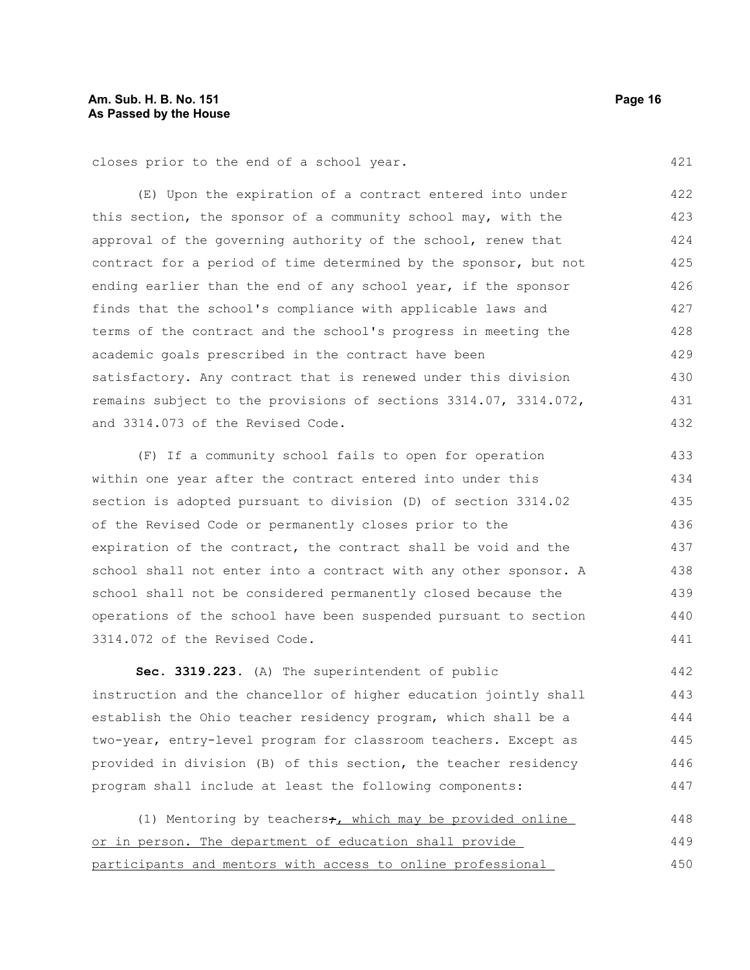closes prior to the end of a school year.

(E) Upon the expiration of a contract entered into under this section, the sponsor of a community school may, with the approval of the governing authority of the school, renew that contract for a period of time determined by the sponsor, but not ending earlier than the end of any school year, if the sponsor finds that the school's compliance with applicable laws and terms of the contract and the school's progress in meeting the academic goals prescribed in the contract have been satisfactory. Any contract that is renewed under this division remains subject to the provisions of sections 3314.07, 3314.072, and 3314.073 of the Revised Code. 422 423 424 425 426 427 428 429 430 431 432

(F) If a community school fails to open for operation within one year after the contract entered into under this section is adopted pursuant to division (D) of section 3314.02 of the Revised Code or permanently closes prior to the expiration of the contract, the contract shall be void and the school shall not enter into a contract with any other sponsor. A school shall not be considered permanently closed because the operations of the school have been suspended pursuant to section 3314.072 of the Revised Code. 433 434 435 436 437 438 439 440 441

**Sec. 3319.223.** (A) The superintendent of public instruction and the chancellor of higher education jointly shall establish the Ohio teacher residency program, which shall be a two-year, entry-level program for classroom teachers. Except as provided in division (B) of this section, the teacher residency program shall include at least the following components: 442 443 444 445 446 447

(1) Mentoring by teachers $\div$ , which may be provided online or in person. The department of education shall provide participants and mentors with access to online professional 448 449 450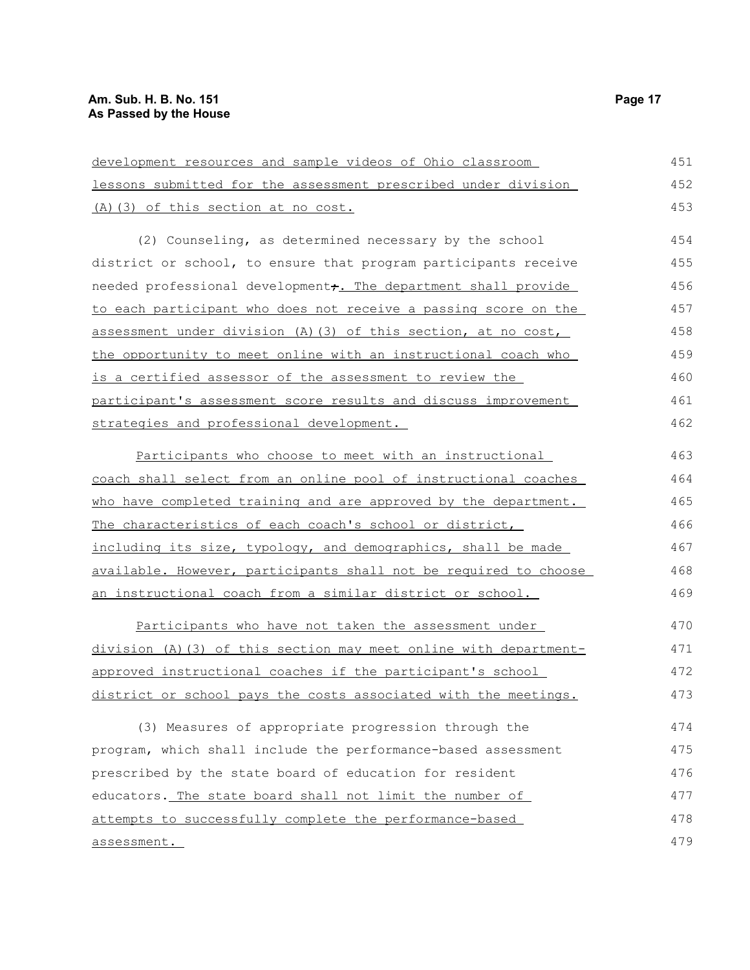## **Am. Sub. H. B. No. 151 Page 17 As Passed by the House**

| development resources and sample videos of Ohio classroom         | 451 |
|-------------------------------------------------------------------|-----|
| lessons submitted for the assessment prescribed under division    | 452 |
| (A)(3) of this section at no cost.                                | 453 |
| (2) Counseling, as determined necessary by the school             | 454 |
| district or school, to ensure that program participants receive   | 455 |
| needed professional development, The department shall provide     | 456 |
| to each participant who does not receive a passing score on the   | 457 |
| assessment under division (A) (3) of this section, at no cost,    | 458 |
| the opportunity to meet online with an instructional coach who    | 459 |
| is a certified assessor of the assessment to review the           | 460 |
| participant's assessment score results and discuss improvement    | 461 |
| strategies and professional development.                          | 462 |
| Participants who choose to meet with an instructional             | 463 |
| coach shall select from an online pool of instructional coaches   | 464 |
| who have completed training and are approved by the department.   | 465 |
| The characteristics of each coach's school or district,           | 466 |
| including its size, typology, and demographics, shall be made     | 467 |
| available. However, participants shall not be required to choose  | 468 |
| <u>an instructional coach from a similar district or school.</u>  | 469 |
| Participants who have not taken the assessment under              | 470 |
| division (A) (3) of this section may meet online with department- | 471 |
| approved instructional coaches if the participant's school        | 472 |
| district or school pays the costs associated with the meetings.   | 473 |
| (3) Measures of appropriate progression through the               | 474 |
| program, which shall include the performance-based assessment     | 475 |
| prescribed by the state board of education for resident           | 476 |
| educators. The state board shall not limit the number of          | 477 |
| attempts to successfully complete the performance-based           | 478 |
| assessment.                                                       | 479 |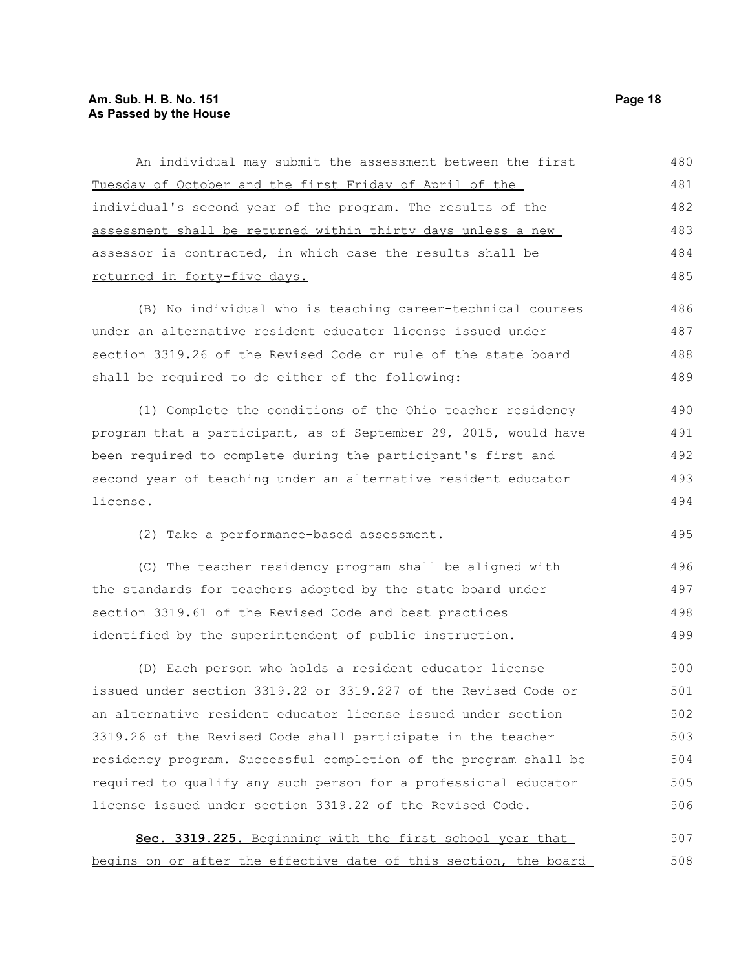## **Am. Sub. H. B. No. 151 Page 18 As Passed by the House**

| An individual may submit the assessment between the first        | 480 |
|------------------------------------------------------------------|-----|
| Tuesday of October and the first Friday of April of the          | 481 |
| individual's second year of the program. The results of the      | 482 |
| assessment shall be returned within thirty days unless a new     | 483 |
| assessor is contracted, in which case the results shall be       | 484 |
| returned in forty-five days.                                     | 485 |
| (B) No individual who is teaching career-technical courses       | 486 |
| under an alternative resident educator license issued under      | 487 |
| section 3319.26 of the Revised Code or rule of the state board   | 488 |
| shall be required to do either of the following:                 | 489 |
| (1) Complete the conditions of the Ohio teacher residency        | 490 |
| program that a participant, as of September 29, 2015, would have | 491 |
| been required to complete during the participant's first and     | 492 |
| second year of teaching under an alternative resident educator   | 493 |
| license.                                                         | 494 |
| (2) Take a performance-based assessment.                         | 495 |
| (C) The teacher residency program shall be aligned with          | 496 |
| the standards for teachers adopted by the state board under      | 497 |
| section 3319.61 of the Revised Code and best practices           | 498 |
| identified by the superintendent of public instruction.          | 499 |
| (D) Each person who holds a resident educator license            | 500 |
| issued under section 3319.22 or 3319.227 of the Revised Code or  | 501 |
| an alternative resident educator license issued under section    | 502 |
| 3319.26 of the Revised Code shall participate in the teacher     | 503 |
| residency program. Successful completion of the program shall be | 504 |
| required to qualify any such person for a professional educator  | 505 |
| license issued under section 3319.22 of the Revised Code.        | 506 |
| Sec. 3319.225. Beginning with the first school year that         | 507 |
| begins on or after the effective date of this section, the board | 508 |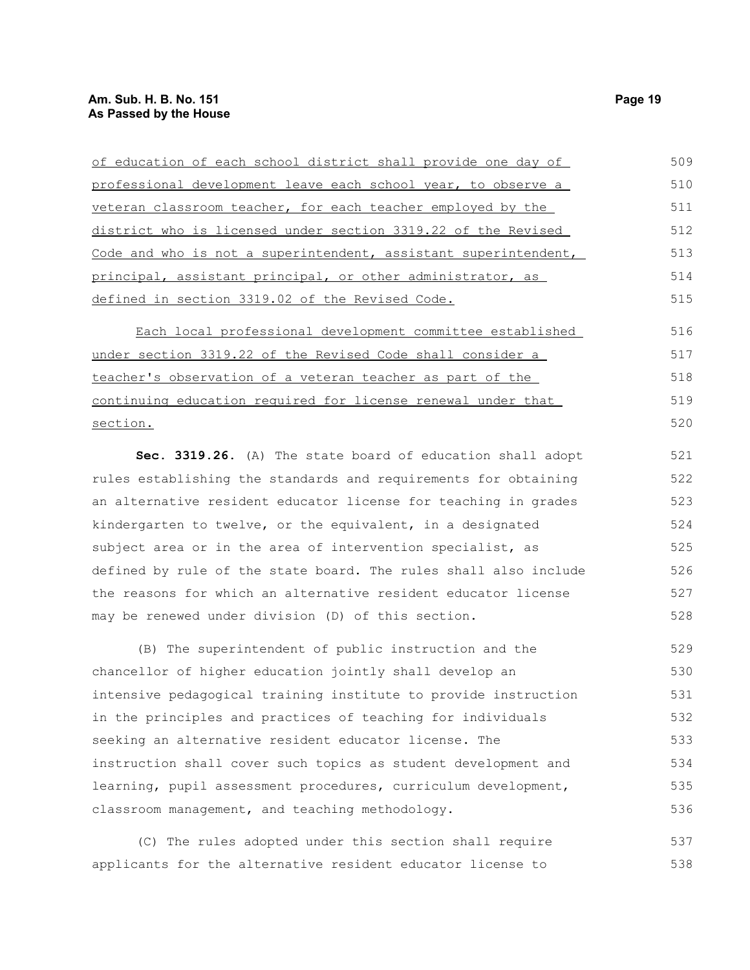## **Am. Sub. H. B. No. 151 Page 19 As Passed by the House**

| of education of each school district shall provide one day of      | 509 |
|--------------------------------------------------------------------|-----|
| professional development leave each school year, to observe a      | 510 |
| veteran classroom teacher, for each teacher employed by the        | 511 |
| district who is licensed under section 3319.22 of the Revised      | 512 |
| Code and who is not a superintendent, assistant superintendent,    | 513 |
| <u>principal, assistant principal, or other administrator, as </u> | 514 |
| <u>defined in section 3319.02 of the Revised Code.</u>             | 515 |
| Each local professional development committee established          | 516 |
| <u>under section 3319.22 of the Revised Code shall consider a </u> | 517 |
| <u>teacher's observation of a veteran teacher as part of the </u>  | 518 |
| continuing education required for license renewal under that       | 519 |
| <u>section.</u>                                                    | 520 |
| Sec. 3319.26. (A) The state board of education shall adopt         | 521 |
| rules establishing the standards and requirements for obtaining    | 522 |
| an alternative resident educator license for teaching in grades    | 523 |
| kindergarten to twelve, or the equivalent, in a designated         | 524 |
| subject area or in the area of intervention specialist, as         | 525 |
| defined by rule of the state board. The rules shall also include   | 526 |
| the reasons for which an alternative resident educator license     | 527 |
| may be renewed under division (D) of this section.                 | 528 |
| (B) The superintendent of public instruction and the               | 529 |
| chancellor of higher education jointly shall develop an            | 530 |
| intensive pedagogical training institute to provide instruction    | 531 |
| in the principles and practices of teaching for individuals        | 532 |
| seeking an alternative resident educator license. The              | 533 |
| instruction shall cover such topics as student development and     | 534 |
| learning, pupil assessment procedures, curriculum development,     | 535 |
| classroom management, and teaching methodology.                    | 536 |
| (C) The rules adopted under this section shall require             | 537 |

applicants for the alternative resident educator license to 538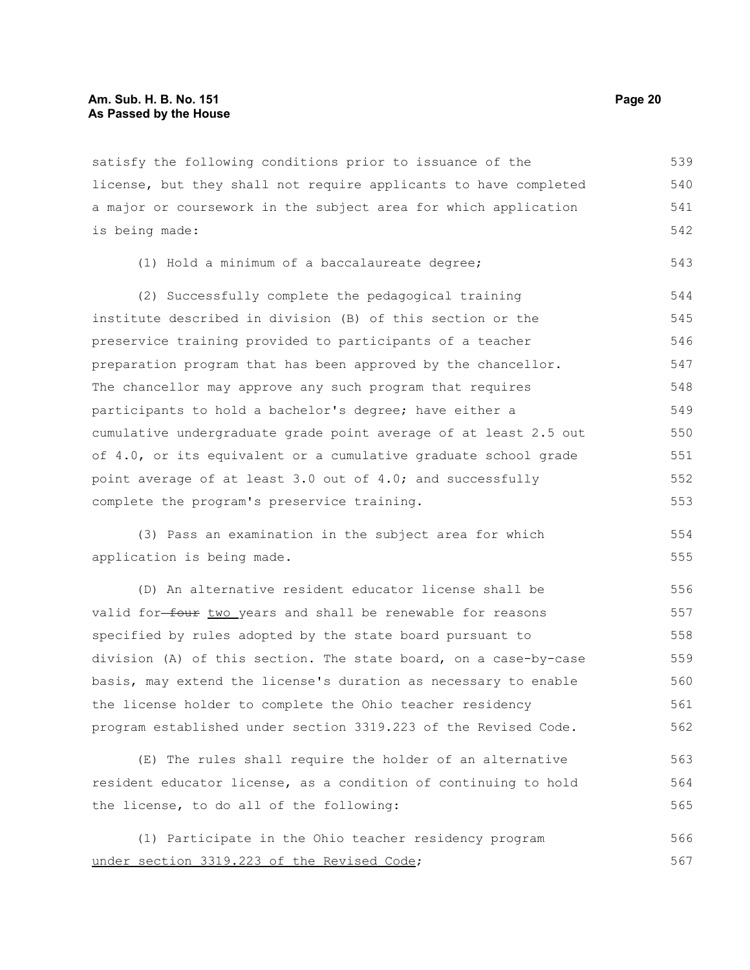satisfy the following conditions prior to issuance of the license, but they shall not require applicants to have completed a major or coursework in the subject area for which application is being made: 539 540 541 542

|  |  |  |  |  | (1) Hold a minimum of a baccalaureate degree; |  |  |  |  |
|--|--|--|--|--|-----------------------------------------------|--|--|--|--|
|--|--|--|--|--|-----------------------------------------------|--|--|--|--|

(2) Successfully complete the pedagogical training institute described in division (B) of this section or the preservice training provided to participants of a teacher preparation program that has been approved by the chancellor. The chancellor may approve any such program that requires participants to hold a bachelor's degree; have either a cumulative undergraduate grade point average of at least 2.5 out of 4.0, or its equivalent or a cumulative graduate school grade point average of at least 3.0 out of 4.0; and successfully complete the program's preservice training. 544 545 546 547 548 549 550 551 552 553

(3) Pass an examination in the subject area for which application is being made.

(D) An alternative resident educator license shall be valid for-four two years and shall be renewable for reasons specified by rules adopted by the state board pursuant to division (A) of this section. The state board, on a case-by-case basis, may extend the license's duration as necessary to enable the license holder to complete the Ohio teacher residency program established under section 3319.223 of the Revised Code. 556 557 558 559 560 561 562

(E) The rules shall require the holder of an alternative resident educator license, as a condition of continuing to hold the license, to do all of the following: 563 564 565

(1) Participate in the Ohio teacher residency program under section 3319.223 of the Revised Code; 566 567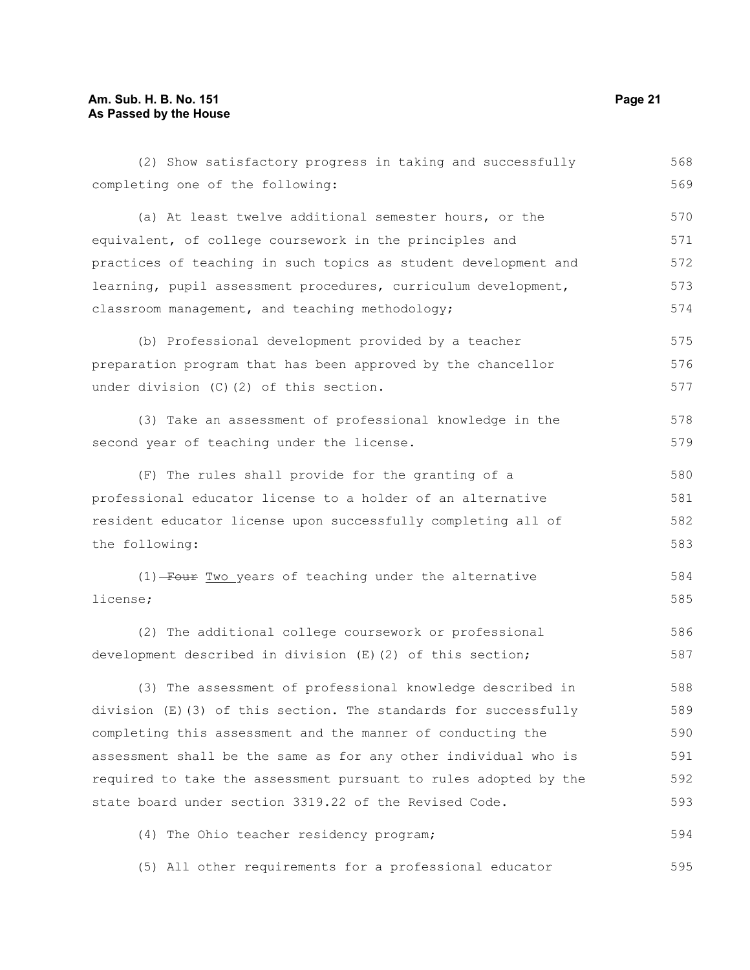## **Am. Sub. H. B. No. 151 Page 21 As Passed by the House**

| (2) Show satisfactory progress in taking and successfully        | 568 |  |
|------------------------------------------------------------------|-----|--|
| completing one of the following:                                 | 569 |  |
| (a) At least twelve additional semester hours, or the            | 570 |  |
| equivalent, of college coursework in the principles and          | 571 |  |
| practices of teaching in such topics as student development and  | 572 |  |
| learning, pupil assessment procedures, curriculum development,   | 573 |  |
| classroom management, and teaching methodology;                  | 574 |  |
| (b) Professional development provided by a teacher               | 575 |  |
| preparation program that has been approved by the chancellor     | 576 |  |
| under division (C)(2) of this section.                           | 577 |  |
| (3) Take an assessment of professional knowledge in the          | 578 |  |
| second year of teaching under the license.                       | 579 |  |
| (F) The rules shall provide for the granting of a                | 580 |  |
| professional educator license to a holder of an alternative      | 581 |  |
| resident educator license upon successfully completing all of    |     |  |
| the following:                                                   | 583 |  |
| (1) Four Two years of teaching under the alternative             | 584 |  |
| license;                                                         | 585 |  |
| (2) The additional college coursework or professional            | 586 |  |
| development described in division (E)(2) of this section;        | 587 |  |
| (3) The assessment of professional knowledge described in        | 588 |  |
| division (E)(3) of this section. The standards for successfully  | 589 |  |
| completing this assessment and the manner of conducting the      | 590 |  |
| assessment shall be the same as for any other individual who is  | 591 |  |
| required to take the assessment pursuant to rules adopted by the | 592 |  |
| state board under section 3319.22 of the Revised Code.           | 593 |  |
| (4) The Ohio teacher residency program;                          | 594 |  |
| (5) All other requirements for a professional educator           | 595 |  |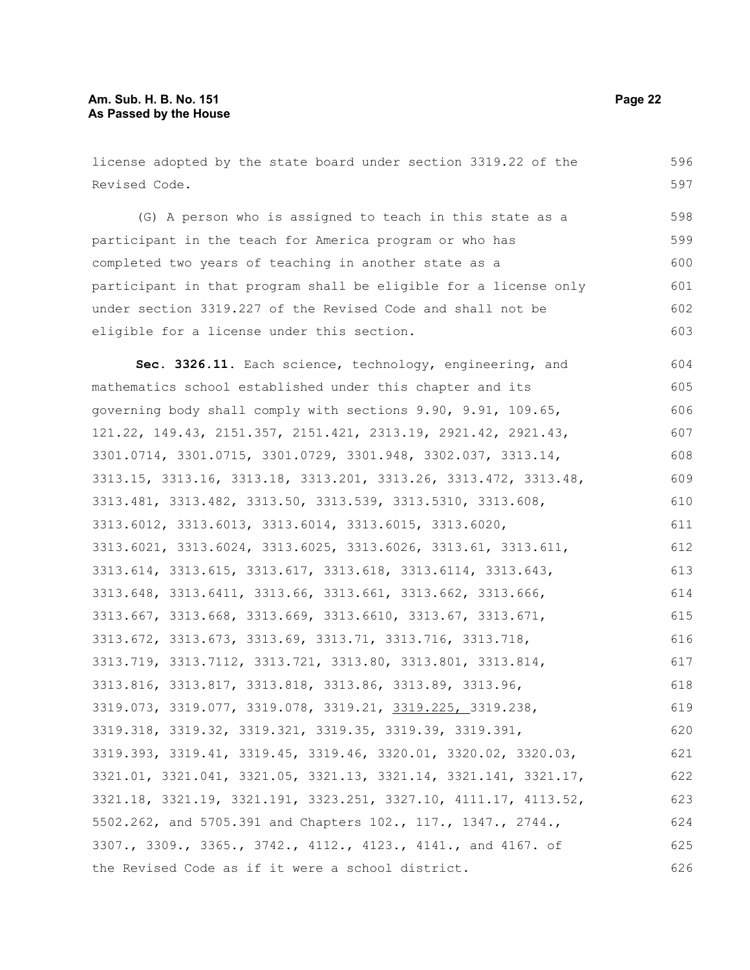license adopted by the state board under section 3319.22 of the Revised Code. (G) A person who is assigned to teach in this state as a participant in the teach for America program or who has completed two years of teaching in another state as a participant in that program shall be eligible for a license only under section 3319.227 of the Revised Code and shall not be eligible for a license under this section. **Sec. 3326.11.** Each science, technology, engineering, and mathematics school established under this chapter and its governing body shall comply with sections 9.90, 9.91, 109.65, 121.22, 149.43, 2151.357, 2151.421, 2313.19, 2921.42, 2921.43, 3301.0714, 3301.0715, 3301.0729, 3301.948, 3302.037, 3313.14, 3313.15, 3313.16, 3313.18, 3313.201, 3313.26, 3313.472, 3313.48, 3313.481, 3313.482, 3313.50, 3313.539, 3313.5310, 3313.608, 3313.6012, 3313.6013, 3313.6014, 3313.6015, 3313.6020, 3313.6021, 3313.6024, 3313.6025, 3313.6026, 3313.61, 3313.611, 3313.614, 3313.615, 3313.617, 3313.618, 3313.6114, 3313.643, 3313.648, 3313.6411, 3313.66, 3313.661, 3313.662, 3313.666, 3313.667, 3313.668, 3313.669, 3313.6610, 3313.67, 3313.671, 3313.672, 3313.673, 3313.69, 3313.71, 3313.716, 3313.718, 3313.719, 3313.7112, 3313.721, 3313.80, 3313.801, 3313.814, 3313.816, 3313.817, 3313.818, 3313.86, 3313.89, 3313.96, 3319.073, 3319.077, 3319.078, 3319.21, 3319.225, 3319.238, 3319.318, 3319.32, 3319.321, 3319.35, 3319.39, 3319.391, 3319.393, 3319.41, 3319.45, 3319.46, 3320.01, 3320.02, 3320.03, 3321.01, 3321.041, 3321.05, 3321.13, 3321.14, 3321.141, 3321.17, 3321.18, 3321.19, 3321.191, 3323.251, 3327.10, 4111.17, 4113.52, 5502.262, and 5705.391 and Chapters 102., 117., 1347., 2744., 3307., 3309., 3365., 3742., 4112., 4123., 4141., and 4167. of the Revised Code as if it were a school district. 596 597 598 599 600 601 602 603 604 605 606 607 608 609 610 611 612 613 614 615 616 617 618 619 620 621 622 623 624 625 626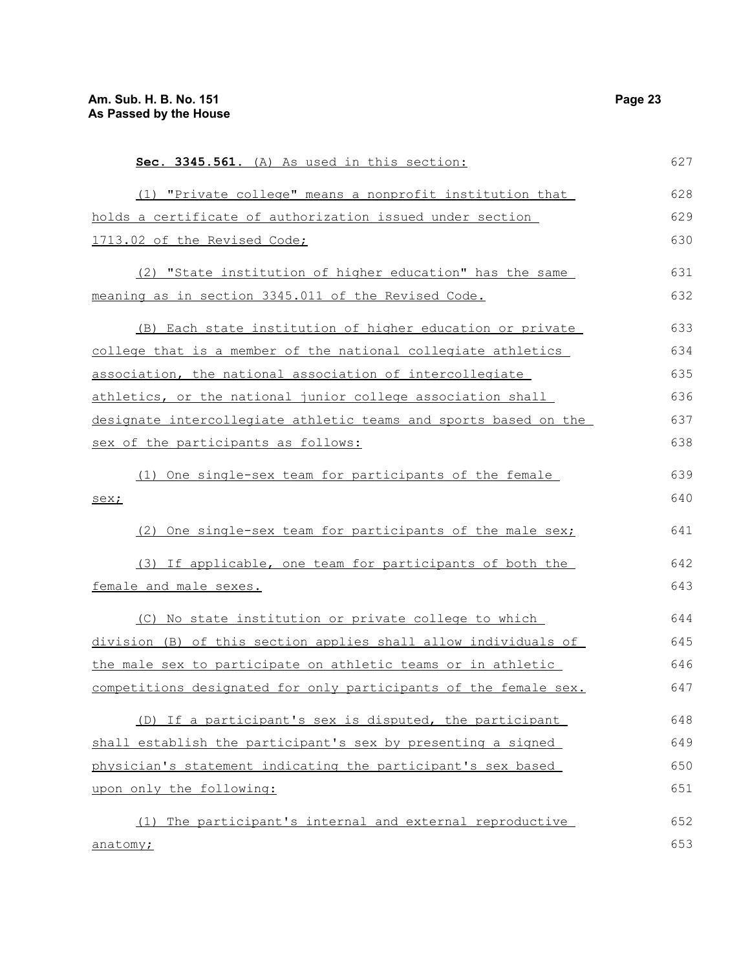| Sec. 3345.561. (A) As used in this section:                      | 627 |
|------------------------------------------------------------------|-----|
| (1) "Private college" means a nonprofit institution that         | 628 |
| holds a certificate of authorization issued under section        | 629 |
| 1713.02 of the Revised Code;                                     | 630 |
| (2) "State institution of higher education" has the same         | 631 |
| meaning as in section 3345.011 of the Revised Code.              | 632 |
| (B) Each state institution of higher education or private        | 633 |
| college that is a member of the national collegiate athletics    | 634 |
| association, the national association of intercollegiate         | 635 |
| athletics, or the national junior college association shall      | 636 |
| designate intercollegiate athletic teams and sports based on the | 637 |
| sex of the participants as follows:                              | 638 |
| (1) One single-sex team for participants of the female           | 639 |
| sex;                                                             | 640 |
| (2) One single-sex team for participants of the male sex;        | 641 |
| (3) If applicable, one team for participants of both the         | 642 |
| female and male sexes.                                           | 643 |
| (C) No state institution or private college to which             | 644 |
| division (B) of this section applies shall allow individuals of  | 645 |
| the male sex to participate on athletic teams or in athletic     | 646 |
| competitions designated for only participants of the female sex. | 647 |
| (D) If a participant's sex is disputed, the participant          | 648 |
| shall establish the participant's sex by presenting a signed     | 649 |
| physician's statement indicating the participant's sex based     | 650 |
| upon only the following:                                         | 651 |
| The participant's internal and external reproductive<br>(1)      | 652 |
| anatomy;                                                         | 653 |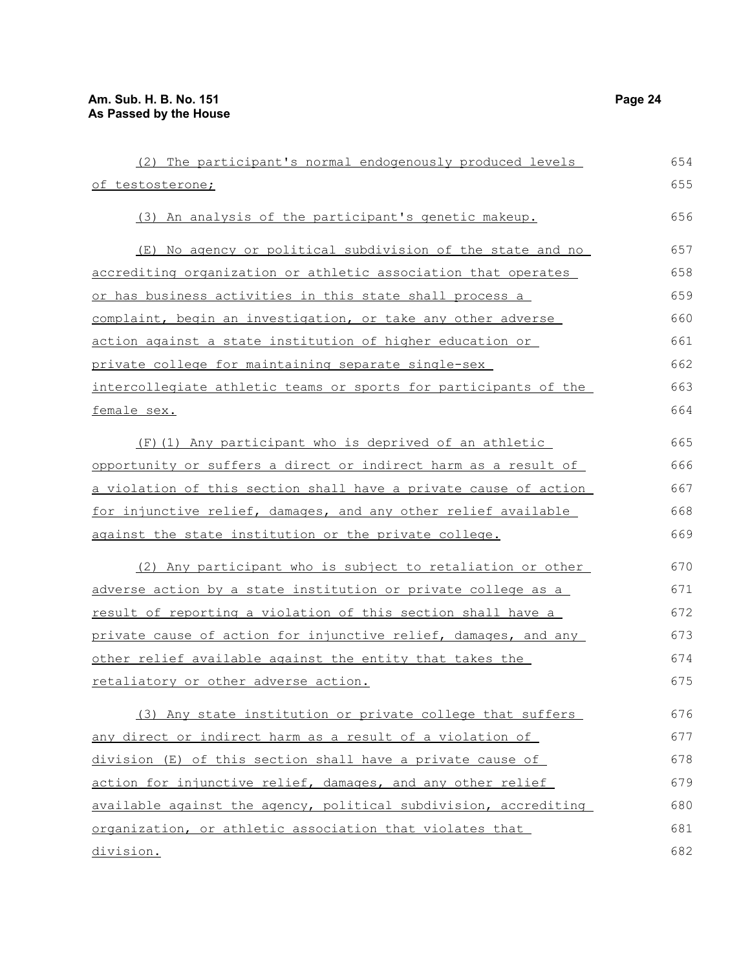| (2) The participant's normal endogenously produced levels        | 654 |
|------------------------------------------------------------------|-----|
| of testosterone;                                                 | 655 |
| (3) An analysis of the participant's genetic makeup.             | 656 |
| (E) No agency or political subdivision of the state and no       | 657 |
| accrediting organization or athletic association that operates   | 658 |
| or has business activities in this state shall process a         | 659 |
| complaint, begin an investigation, or take any other adverse     | 660 |
| action against a state institution of higher education or        | 661 |
| private college for maintaining separate single-sex              | 662 |
| intercollegiate athletic teams or sports for participants of the | 663 |
| female sex.                                                      | 664 |
| (F) (1) Any participant who is deprived of an athletic           | 665 |
| opportunity or suffers a direct or indirect harm as a result of  | 666 |
| a violation of this section shall have a private cause of action | 667 |
| for injunctive relief, damages, and any other relief available   | 668 |
| against the state institution or the private college.            | 669 |
| (2) Any participant who is subject to retaliation or other       | 670 |
| adverse action by a state institution or private college as a    | 671 |
| result of reporting a violation of this section shall have a     | 672 |
| private cause of action for injunctive relief, damages, and any  | 673 |
| other relief available against the entity that takes the         | 674 |
| retaliatory or other adverse action.                             | 675 |
| (3) Any state institution or private college that suffers        | 676 |
| any direct or indirect harm as a result of a violation of        | 677 |
| division (E) of this section shall have a private cause of       | 678 |
| action for injunctive relief, damages, and any other relief      | 679 |
| available against the agency, political subdivision, accrediting | 680 |
| organization, or athletic association that violates that         | 681 |
| division.                                                        | 682 |